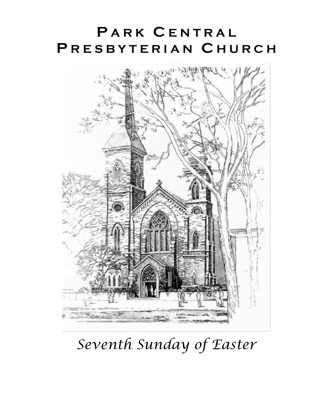# **P A R K C E N T R A L P R E S B Y T E R I A N C H U R C H**



*Seventh Sunday of Easter*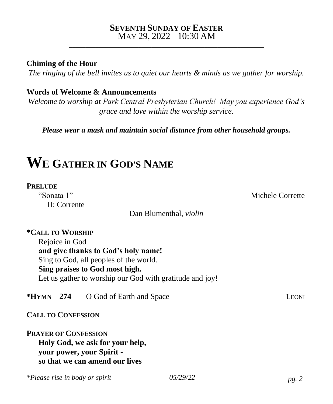#### **SEVENTH SUNDAY OF EASTER** MAY 29, 2022 10:30 AM

\_\_\_\_\_\_\_\_\_\_\_\_\_\_\_\_\_\_\_\_\_\_\_\_\_\_\_\_\_\_\_\_\_\_\_\_\_\_\_\_\_\_\_\_\_\_\_\_\_\_\_\_\_\_\_\_\_\_\_

**Chiming of the Hour**

*The ringing of the bell invites us to quiet our hearts & minds as we gather for worship.*

#### **Words of Welcome & Announcements**

*Welcome to worship at Park Central Presbyterian Church! May you experience God's grace and love within the worship service.*

*Please wear a mask and maintain social distance from other household groups.*

# **W<sup>E</sup> GATHER IN GOD'S NAME**

#### **PRELUDE**

II: Corrente

Dan Blumenthal, *violin*

## **\*CALL TO WORSHIP**

Rejoice in God **and give thanks to God's holy name!** Sing to God, all peoples of the world. **Sing praises to God most high.** Let us gather to worship our God with gratitude and joy!

**\*HYMN 274** O God of Earth and Space LEONI

**CALL TO CONFESSION**

**PRAYER OF CONFESSION Holy God, we ask for your help, your power, your Spirit so that we can amend our lives** 

*\*Please rise in body or spirit 05/29/22 pg. 2*

"Sonata 1" Michele Corrette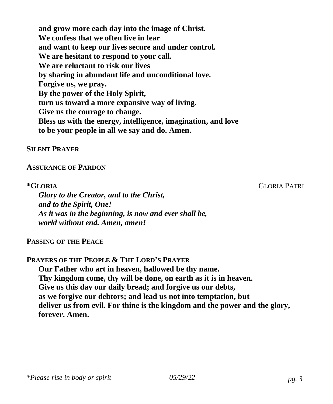**and grow more each day into the image of Christ. We confess that we often live in fear and want to keep our lives secure and under control. We are hesitant to respond to your call. We are reluctant to risk our lives by sharing in abundant life and unconditional love. Forgive us, we pray. By the power of the Holy Spirit, turn us toward a more expansive way of living. Give us the courage to change. Bless us with the energy, intelligence, imagination, and love to be your people in all we say and do. Amen.**

#### **SILENT PRAYER**

#### **ASSURANCE OF PARDON**

*Glory to the Creator, and to the Christ, and to the Spirit, One! As it was in the beginning, is now and ever shall be, world without end. Amen, amen!*

**PASSING OF THE PEACE**

**PRAYERS OF THE PEOPLE & THE LORD'S PRAYER**

**Our Father who art in heaven, hallowed be thy name. Thy kingdom come, thy will be done, on earth as it is in heaven. Give us this day our daily bread; and forgive us our debts, as we forgive our debtors; and lead us not into temptation, but deliver us from evil. For thine is the kingdom and the power and the glory, forever. Amen.**

*\*Please rise in body or spirit 05/29/22 pg. 3*

**\*GLORIA** GLORIA PATRI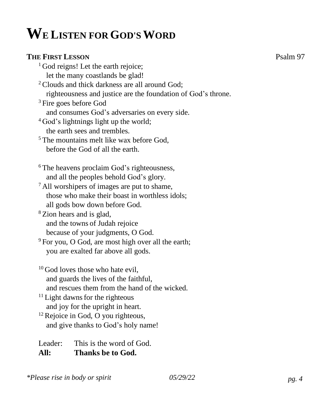# **WE LISTEN FOR GOD'SWORD**

#### **THE FIRST LESSON** Psalm 97

<sup>1</sup> God reigns! Let the earth rejoice; let the many coastlands be glad! <sup>2</sup> Clouds and thick darkness are all around God; righteousness and justice are the foundation of God's throne. <sup>3</sup> Fire goes before God and consumes God's adversaries on every side.  $4$  God's lightnings light up the world; the earth sees and trembles. <sup>5</sup> The mountains melt like wax before God, before the God of all the earth. <sup>6</sup> The heavens proclaim God's righteousness, and all the peoples behold God's glory.  $<sup>7</sup>$  All worshipers of images are put to shame,</sup> those who make their boast in worthless idols; all gods bow down before God. <sup>8</sup> Zion hears and is glad, and the towns of Judah rejoice because of your judgments, O God. <sup>9</sup> For you, O God, are most high over all the earth; you are exalted far above all gods.  $10$  God loves those who hate evil, and guards the lives of the faithful, and rescues them from the hand of the wicked. <sup>11</sup> Light dawns for the righteous and joy for the upright in heart.  $12$  Rejoice in God, O you righteous, and give thanks to God's holy name!

Leader: This is the word of God. **All: Thanks be to God.**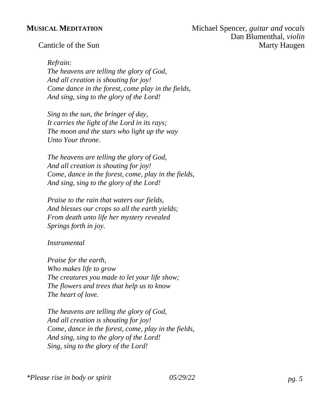#### *Refrain:*

*The heavens are telling the glory of God, And all creation is shouting for joy! Come dance in the forest, come play in the fields, And sing, sing to the glory of the Lord!*

*Sing to the sun, the bringer of day, It carries the light of the Lord in its rays; The moon and the stars who light up the way Unto Your throne.*

*The heavens are telling the glory of God, And all creation is shouting for joy! Come, dance in the forest, come, play in the fields, And sing, sing to the glory of the Lord!*

*Praise to the rain that waters our fields, And blesses our crops so all the earth yields; From death unto life her mystery revealed Springs forth in joy.*

#### *Instrumental*

*Praise for the earth, Who makes life to grow The creatures you made to let your life show; The flowers and trees that help us to know The heart of love.*

*The heavens are telling the glory of God, And all creation is shouting for joy! Come, dance in the forest, come, play in the fields, And sing, sing to the glory of the Lord! Sing, sing to the glory of the Lord!*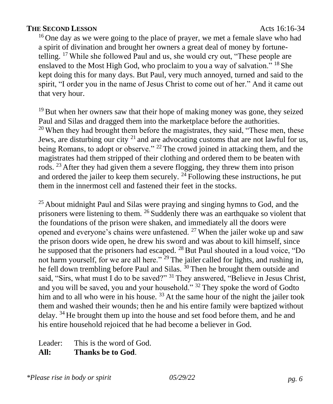#### **THE SECOND LESSON** Acts 16:16-34

<sup>16</sup> One day as we were going to the place of prayer, we met a female slave who had a spirit of divination and brought her owners a great deal of money by fortunetelling. <sup>17</sup> While she followed Paul and us, she would cry out, "These people are enslaved to the Most High God, who proclaim to you a way of salvation." <sup>18</sup> She kept doing this for many days. But Paul, very much annoyed, turned and said to the spirit, "I order you in the name of Jesus Christ to come out of her." And it came out that very hour.

 $19$  But when her owners saw that their hope of making money was gone, they seized Paul and Silas and dragged them into the marketplace before the authorities.  $20$  When they had brought them before the magistrates, they said, "These men, these Jews, are disturbing our city  $2<sup>1</sup>$  and are advocating customs that are not lawful for us, being Romans, to adopt or observe." <sup>22</sup> The crowd joined in attacking them, and the magistrates had them stripped of their clothing and ordered them to be beaten with rods. <sup>23</sup> After they had given them a severe flogging, they threw them into prison and ordered the jailer to keep them securely.  $^{24}$  Following these instructions, he put them in the innermost cell and fastened their feet in the stocks.

 $25$  About midnight Paul and Silas were praying and singing hymns to God, and the prisoners were listening to them. <sup>26</sup> Suddenly there was an earthquake so violent that the foundations of the prison were shaken, and immediately all the doors were opened and everyone's chains were unfastened.  $^{27}$  When the jailer woke up and saw the prison doors wide open, he drew his sword and was about to kill himself, since he supposed that the prisoners had escaped. <sup>28</sup> But Paul shouted in a loud voice, "Do not harm yourself, for we are all here." <sup>29</sup> The jailer called for lights, and rushing in, he fell down trembling before Paul and Silas. <sup>30</sup> Then he brought them outside and said, "Sirs, what must I do to be saved?" <sup>31</sup> They answered, "Believe in Jesus Christ, and you will be saved, you and your household." <sup>32</sup> They spoke the word of Godto him and to all who were in his house.<sup>33</sup> At the same hour of the night the jailer took them and washed their wounds; then he and his entire family were baptized without delay. <sup>34</sup> He brought them up into the house and set food before them, and he and his entire household rejoiced that he had become a believer in God.

Leader: This is the word of God. **All: Thanks be to God**.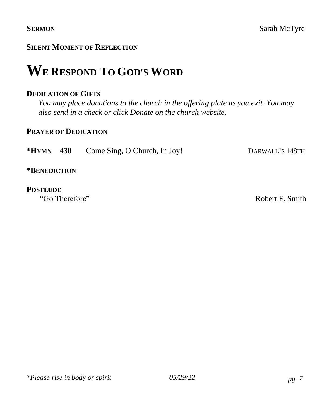# **WE RESPOND TO GOD'S WORD**

#### **DEDICATION OF GIFTS**

*You may place donations to the church in the offering plate as you exit. You may also send in a check or click Donate on the church website.*

#### **PRAYER OF DEDICATION**

**\*HYMN 430** Come Sing, O Church, In Joy! DARWALL'S 148TH

**\*BENEDICTION**

# **POSTLUDE**<br>"Go Therefore"

Robert F. Smith